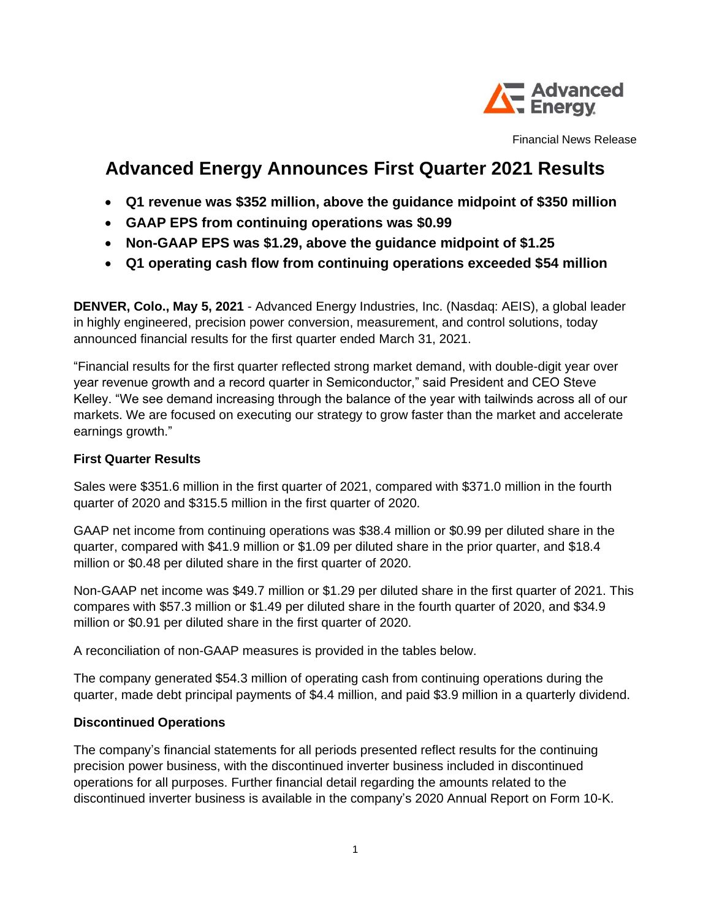

Financial News Release

## **Advanced Energy Announces First Quarter 2021 Results**

- **Q1 revenue was \$352 million, above the guidance midpoint of \$350 million**
- **GAAP EPS from continuing operations was \$0.99**
- **Non-GAAP EPS was \$1.29, above the guidance midpoint of \$1.25**
- **Q1 operating cash flow from continuing operations exceeded \$54 million**

**DENVER, Colo., May 5, 2021** - Advanced Energy Industries, Inc. (Nasdaq: AEIS), a global leader in highly engineered, precision power conversion, measurement, and control solutions, today announced financial results for the first quarter ended March 31, 2021.

"Financial results for the first quarter reflected strong market demand, with double-digit year over year revenue growth and a record quarter in Semiconductor," said President and CEO Steve Kelley. "We see demand increasing through the balance of the year with tailwinds across all of our markets. We are focused on executing our strategy to grow faster than the market and accelerate earnings growth."

## **First Quarter Results**

Sales were \$351.6 million in the first quarter of 2021, compared with \$371.0 million in the fourth quarter of 2020 and \$315.5 million in the first quarter of 2020.

GAAP net income from continuing operations was \$38.4 million or \$0.99 per diluted share in the quarter, compared with \$41.9 million or \$1.09 per diluted share in the prior quarter, and \$18.4 million or \$0.48 per diluted share in the first quarter of 2020.

Non-GAAP net income was \$49.7 million or \$1.29 per diluted share in the first quarter of 2021. This compares with \$57.3 million or \$1.49 per diluted share in the fourth quarter of 2020, and \$34.9 million or \$0.91 per diluted share in the first quarter of 2020.

A reconciliation of non-GAAP measures is provided in the tables below.

The company generated \$54.3 million of operating cash from continuing operations during the quarter, made debt principal payments of \$4.4 million, and paid \$3.9 million in a quarterly dividend.

## **Discontinued Operations**

The company's financial statements for all periods presented reflect results for the continuing precision power business, with the discontinued inverter business included in discontinued operations for all purposes. Further financial detail regarding the amounts related to the discontinued inverter business is available in the company's 2020 Annual Report on Form 10-K.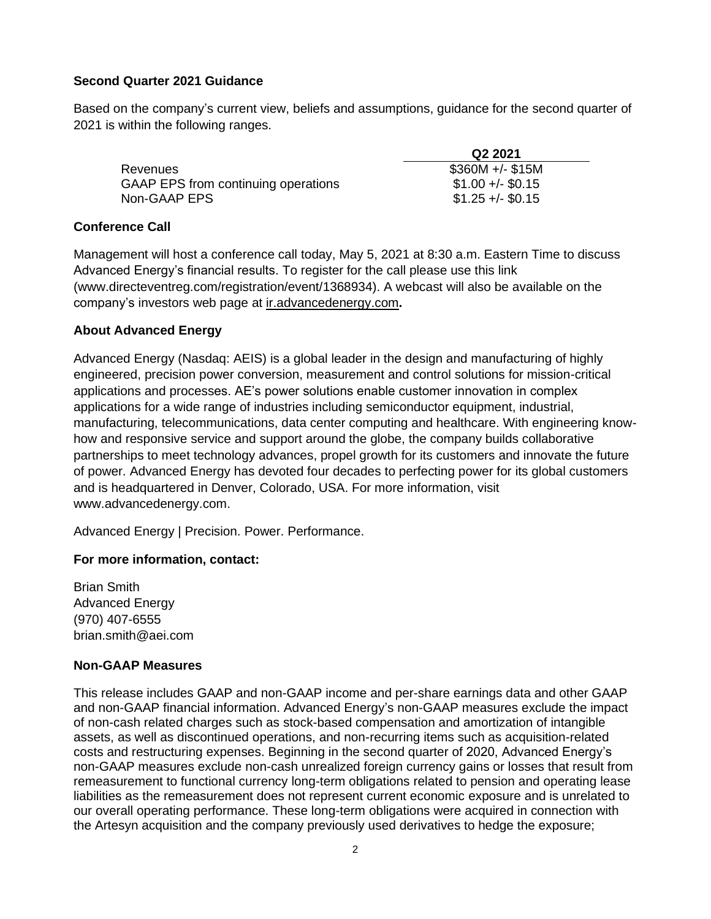## **Second Quarter 2021 Guidance**

Based on the company's current view, beliefs and assumptions, guidance for the second quarter of 2021 is within the following ranges.

|                                     | Q2 2021           |
|-------------------------------------|-------------------|
| Revenues                            | $$360M +/- $15M$  |
| GAAP EPS from continuing operations | $$1.00 +/- $0.15$ |
| Non-GAAP EPS                        | $$1.25 +/- $0.15$ |

## **Conference Call**

Management will host a conference call today, May 5, 2021 at 8:30 a.m. Eastern Time to discuss Advanced Energy's financial results. To register for the call please use this link (www.directeventreg.com/registration/event/1368934). A webcast will also be available on the company's investors web page at ir.advancedenergy.com**.**

## **About Advanced Energy**

Advanced Energy (Nasdaq: AEIS) is a global leader in the design and manufacturing of highly engineered, precision power conversion, measurement and control solutions for mission-critical applications and processes. AE's power solutions enable customer innovation in complex applications for a wide range of industries including semiconductor equipment, industrial, manufacturing, telecommunications, data center computing and healthcare. With engineering knowhow and responsive service and support around the globe, the company builds collaborative partnerships to meet technology advances, propel growth for its customers and innovate the future of power. Advanced Energy has devoted four decades to perfecting power for its global customers and is headquartered in Denver, Colorado, USA. For more information, visit www.advancedenergy.com.

Advanced Energy | Precision. Power. Performance.

## **For more information, contact:**

Brian Smith Advanced Energy (970) 407-6555 brian.smith@aei.com

## **Non-GAAP Measures**

This release includes GAAP and non-GAAP income and per-share earnings data and other GAAP and non-GAAP financial information. Advanced Energy's non-GAAP measures exclude the impact of non-cash related charges such as stock-based compensation and amortization of intangible assets, as well as discontinued operations, and non-recurring items such as acquisition-related costs and restructuring expenses. Beginning in the second quarter of 2020, Advanced Energy's non-GAAP measures exclude non-cash unrealized foreign currency gains or losses that result from remeasurement to functional currency long-term obligations related to pension and operating lease liabilities as the remeasurement does not represent current economic exposure and is unrelated to our overall operating performance. These long-term obligations were acquired in connection with the Artesyn acquisition and the company previously used derivatives to hedge the exposure;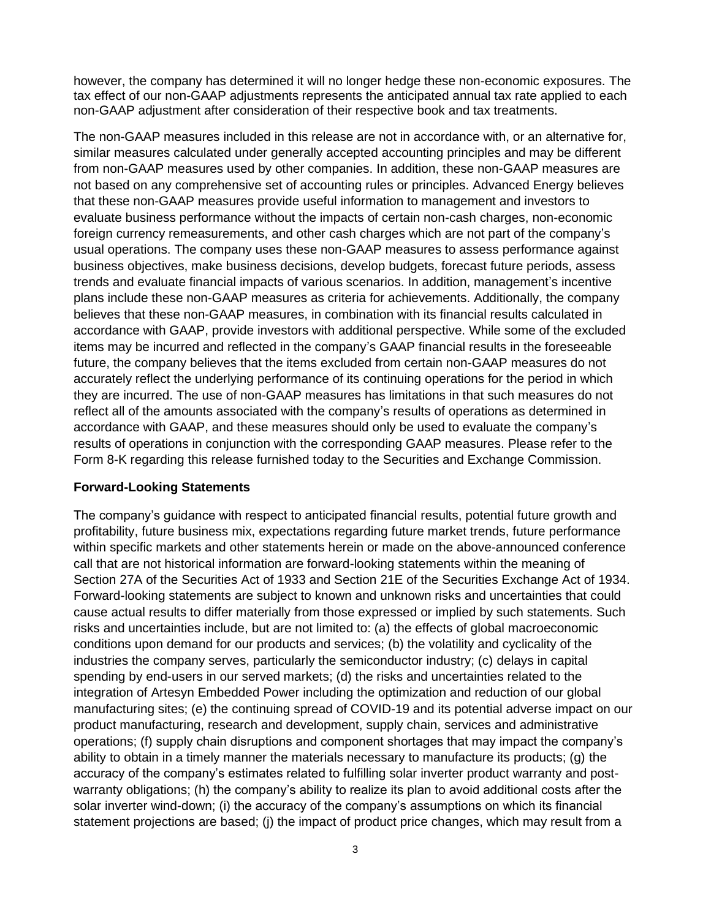however, the company has determined it will no longer hedge these non-economic exposures. The tax effect of our non-GAAP adjustments represents the anticipated annual tax rate applied to each non-GAAP adjustment after consideration of their respective book and tax treatments.

The non-GAAP measures included in this release are not in accordance with, or an alternative for, similar measures calculated under generally accepted accounting principles and may be different from non-GAAP measures used by other companies. In addition, these non-GAAP measures are not based on any comprehensive set of accounting rules or principles. Advanced Energy believes that these non-GAAP measures provide useful information to management and investors to evaluate business performance without the impacts of certain non-cash charges, non-economic foreign currency remeasurements, and other cash charges which are not part of the company's usual operations. The company uses these non-GAAP measures to assess performance against business objectives, make business decisions, develop budgets, forecast future periods, assess trends and evaluate financial impacts of various scenarios. In addition, management's incentive plans include these non-GAAP measures as criteria for achievements. Additionally, the company believes that these non-GAAP measures, in combination with its financial results calculated in accordance with GAAP, provide investors with additional perspective. While some of the excluded items may be incurred and reflected in the company's GAAP financial results in the foreseeable future, the company believes that the items excluded from certain non-GAAP measures do not accurately reflect the underlying performance of its continuing operations for the period in which they are incurred. The use of non-GAAP measures has limitations in that such measures do not reflect all of the amounts associated with the company's results of operations as determined in accordance with GAAP, and these measures should only be used to evaluate the company's results of operations in conjunction with the corresponding GAAP measures. Please refer to the Form 8-K regarding this release furnished today to the Securities and Exchange Commission.

#### **Forward-Looking Statements**

The company's guidance with respect to anticipated financial results, potential future growth and profitability, future business mix, expectations regarding future market trends, future performance within specific markets and other statements herein or made on the above-announced conference call that are not historical information are forward-looking statements within the meaning of Section 27A of the Securities Act of 1933 and Section 21E of the Securities Exchange Act of 1934. Forward-looking statements are subject to known and unknown risks and uncertainties that could cause actual results to differ materially from those expressed or implied by such statements. Such risks and uncertainties include, but are not limited to: (a) the effects of global macroeconomic conditions upon demand for our products and services; (b) the volatility and cyclicality of the industries the company serves, particularly the semiconductor industry; (c) delays in capital spending by end-users in our served markets; (d) the risks and uncertainties related to the integration of Artesyn Embedded Power including the optimization and reduction of our global manufacturing sites; (e) the continuing spread of COVID-19 and its potential adverse impact on our product manufacturing, research and development, supply chain, services and administrative operations; (f) supply chain disruptions and component shortages that may impact the company's ability to obtain in a timely manner the materials necessary to manufacture its products; (g) the accuracy of the company's estimates related to fulfilling solar inverter product warranty and postwarranty obligations; (h) the company's ability to realize its plan to avoid additional costs after the solar inverter wind-down; (i) the accuracy of the company's assumptions on which its financial statement projections are based; (j) the impact of product price changes, which may result from a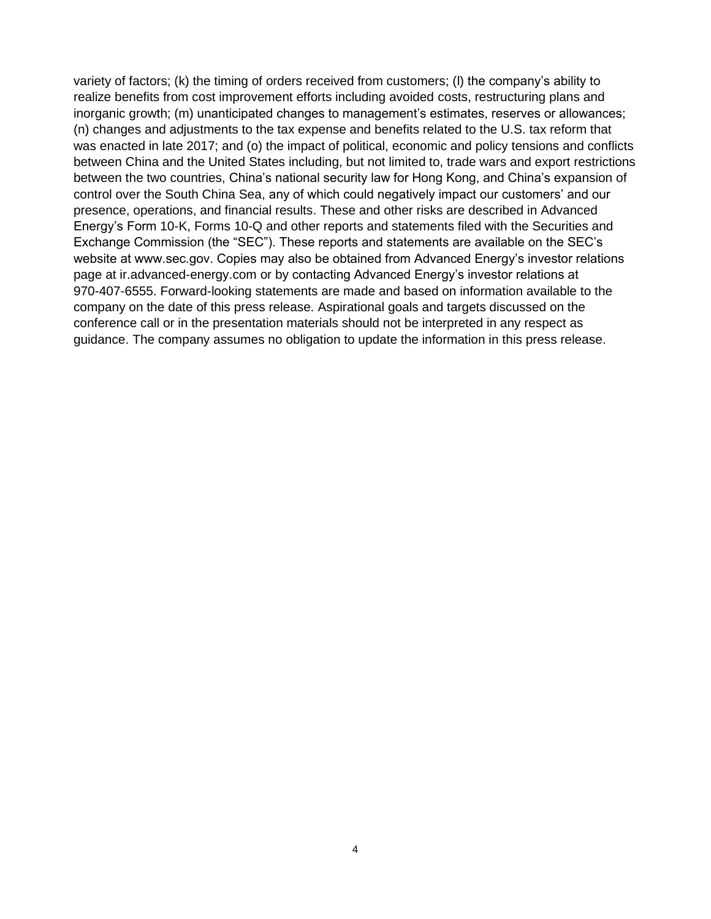variety of factors; (k) the timing of orders received from customers; (l) the company's ability to realize benefits from cost improvement efforts including avoided costs, restructuring plans and inorganic growth; (m) unanticipated changes to management's estimates, reserves or allowances; (n) changes and adjustments to the tax expense and benefits related to the U.S. tax reform that was enacted in late 2017; and (o) the impact of political, economic and policy tensions and conflicts between China and the United States including, but not limited to, trade wars and export restrictions between the two countries, China's national security law for Hong Kong, and China's expansion of control over the South China Sea, any of which could negatively impact our customers' and our presence, operations, and financial results. These and other risks are described in Advanced Energy's Form 10-K, Forms 10-Q and other reports and statements filed with the Securities and Exchange Commission (the "SEC"). These reports and statements are available on the SEC's website at www.sec.gov. Copies may also be obtained from Advanced Energy's investor relations page at ir.advanced-energy.com or by contacting Advanced Energy's investor relations at 970-407-6555. Forward-looking statements are made and based on information available to the company on the date of this press release. Aspirational goals and targets discussed on the conference call or in the presentation materials should not be interpreted in any respect as guidance. The company assumes no obligation to update the information in this press release.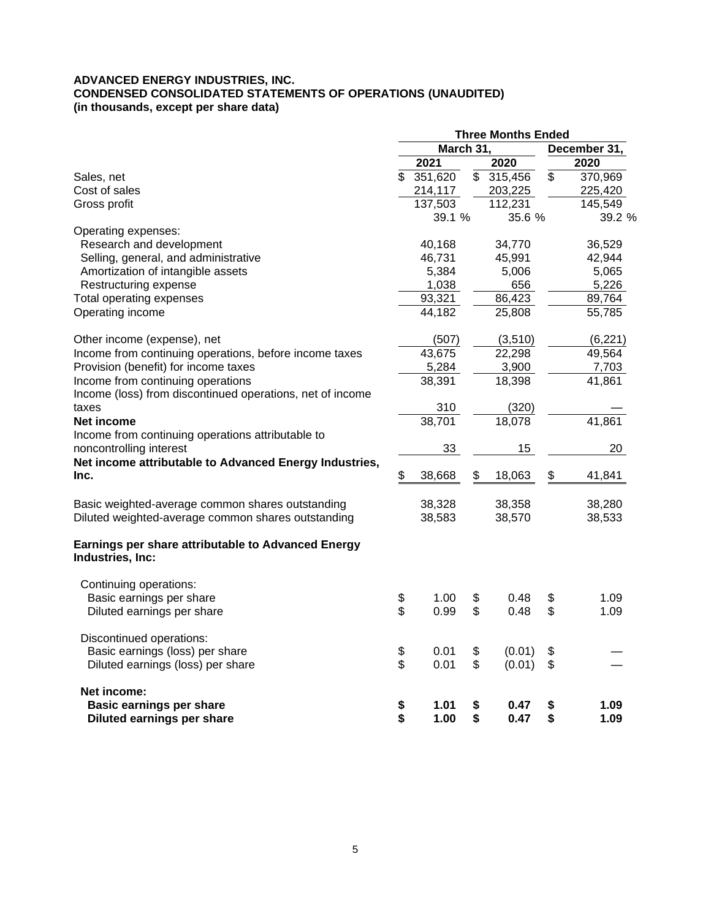#### **ADVANCED ENERGY INDUSTRIES, INC. CONDENSED CONSOLIDATED STATEMENTS OF OPERATIONS (UNAUDITED) (in thousands, except per share data)**

|                                                                        | <b>Three Months Ended</b> |           |    |         |    |              |  |
|------------------------------------------------------------------------|---------------------------|-----------|----|---------|----|--------------|--|
|                                                                        |                           | March 31, |    |         |    | December 31, |  |
|                                                                        |                           | 2021      |    | 2020    |    | 2020         |  |
| Sales, net                                                             | $\mathfrak{S}$            | 351,620   | \$ | 315,456 | \$ | 370,969      |  |
| Cost of sales                                                          |                           | 214,117   |    | 203,225 |    | 225,420      |  |
| Gross profit                                                           |                           | 137,503   |    | 112,231 |    | 145,549      |  |
|                                                                        |                           | 39.1 %    |    | 35.6 %  |    | 39.2 %       |  |
| Operating expenses:                                                    |                           |           |    |         |    |              |  |
| Research and development                                               |                           | 40,168    |    | 34,770  |    | 36,529       |  |
| Selling, general, and administrative                                   |                           | 46,731    |    | 45,991  |    | 42,944       |  |
| Amortization of intangible assets                                      |                           | 5,384     |    | 5,006   |    | 5,065        |  |
| Restructuring expense                                                  |                           | 1,038     |    | 656     |    | 5,226        |  |
| Total operating expenses                                               |                           | 93,321    |    | 86,423  |    | 89,764       |  |
| Operating income                                                       |                           | 44,182    |    | 25,808  |    | 55,785       |  |
| Other income (expense), net                                            |                           | (507)     |    | (3,510) |    | (6, 221)     |  |
| Income from continuing operations, before income taxes                 |                           | 43,675    |    | 22,298  |    | 49,564       |  |
| Provision (benefit) for income taxes                                   |                           | 5,284     |    | 3,900   |    | 7,703        |  |
| Income from continuing operations                                      |                           | 38,391    |    | 18,398  |    | 41,861       |  |
| Income (loss) from discontinued operations, net of income              |                           |           |    |         |    |              |  |
| taxes                                                                  |                           | 310       |    | (320)   |    |              |  |
| Net income                                                             |                           | 38,701    |    | 18,078  |    | 41,861       |  |
| Income from continuing operations attributable to                      |                           |           |    |         |    |              |  |
| noncontrolling interest                                                |                           | 33        |    | 15      |    | 20           |  |
| Net income attributable to Advanced Energy Industries,                 |                           |           |    |         |    |              |  |
| Inc.                                                                   | \$                        | 38,668    | \$ | 18,063  | \$ | 41,841       |  |
| Basic weighted-average common shares outstanding                       |                           | 38,328    |    | 38,358  |    | 38,280       |  |
| Diluted weighted-average common shares outstanding                     |                           | 38,583    |    | 38,570  |    | 38,533       |  |
| Earnings per share attributable to Advanced Energy<br>Industries, Inc: |                           |           |    |         |    |              |  |
| Continuing operations:                                                 |                           |           |    |         |    |              |  |
| Basic earnings per share                                               | \$                        | 1.00      | \$ | 0.48    | \$ | 1.09         |  |
| Diluted earnings per share                                             | \$                        | 0.99      | \$ | 0.48    | \$ | 1.09         |  |
| Discontinued operations:                                               |                           |           |    |         |    |              |  |
| Basic earnings (loss) per share                                        | \$                        | 0.01      | \$ | (0.01)  | \$ |              |  |
| Diluted earnings (loss) per share                                      | \$                        | 0.01      | \$ | (0.01)  | \$ |              |  |
| Net income:                                                            |                           |           |    |         |    |              |  |
| <b>Basic earnings per share</b>                                        | \$                        | 1.01      | \$ | 0.47    | \$ | 1.09         |  |
| Diluted earnings per share                                             | \$                        | 1.00      | \$ | 0.47    | \$ | 1.09         |  |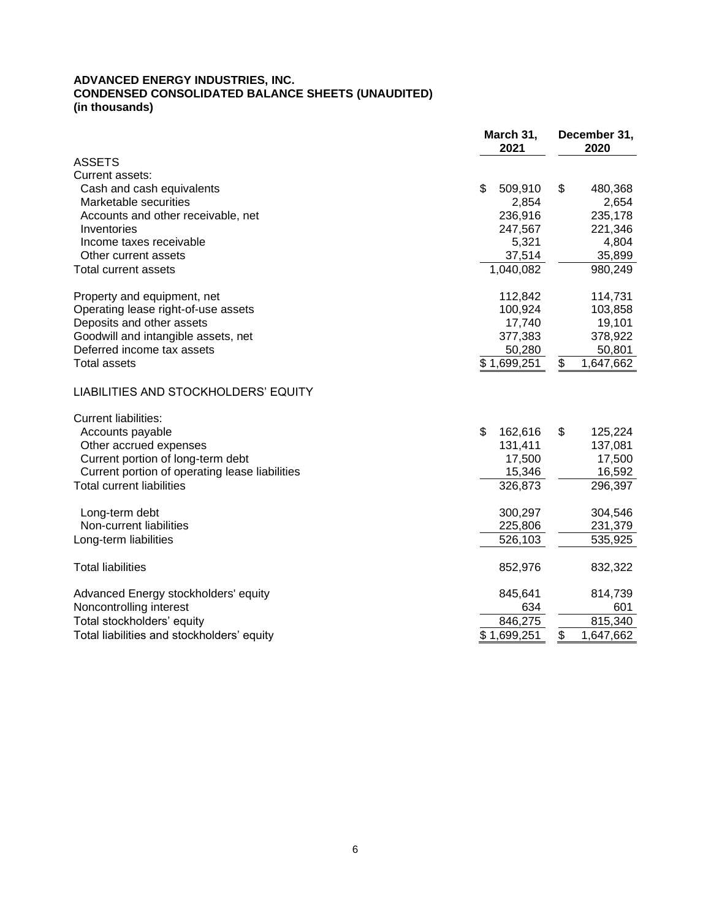#### **ADVANCED ENERGY INDUSTRIES, INC. CONDENSED CONSOLIDATED BALANCE SHEETS (UNAUDITED) (in thousands)**

|                                                | March 31,<br>2021 | December 31,<br>2020 |  |  |
|------------------------------------------------|-------------------|----------------------|--|--|
| <b>ASSETS</b>                                  |                   |                      |  |  |
| Current assets:                                |                   |                      |  |  |
| Cash and cash equivalents                      | \$<br>509,910     | \$<br>480,368        |  |  |
| Marketable securities                          | 2,854             | 2,654                |  |  |
| Accounts and other receivable, net             | 236,916           | 235,178              |  |  |
| Inventories                                    | 247,567           | 221,346              |  |  |
| Income taxes receivable                        | 5,321             | 4,804                |  |  |
| Other current assets                           | 37,514            | 35,899               |  |  |
| <b>Total current assets</b>                    | 1,040,082         | 980,249              |  |  |
| Property and equipment, net                    | 112,842           | 114,731              |  |  |
| Operating lease right-of-use assets            | 100,924           | 103,858              |  |  |
| Deposits and other assets                      | 17,740            | 19,101               |  |  |
| Goodwill and intangible assets, net            | 377,383           | 378,922              |  |  |
| Deferred income tax assets                     | 50,280            | 50,801               |  |  |
| <b>Total assets</b>                            | \$1,699,251       | 1,647,662<br>\$      |  |  |
| LIABILITIES AND STOCKHOLDERS' EQUITY           |                   |                      |  |  |
| <b>Current liabilities:</b>                    |                   |                      |  |  |
| Accounts payable                               | \$<br>162,616     | \$<br>125,224        |  |  |
| Other accrued expenses                         | 131,411           | 137,081              |  |  |
| Current portion of long-term debt              | 17,500            | 17,500               |  |  |
| Current portion of operating lease liabilities | 15,346            | 16,592               |  |  |
| <b>Total current liabilities</b>               | 326,873           | 296,397              |  |  |
| Long-term debt                                 | 300,297           | 304,546              |  |  |
| Non-current liabilities                        | 225,806           | 231,379              |  |  |
| Long-term liabilities                          | 526,103           | 535,925              |  |  |
| <b>Total liabilities</b>                       | 852,976           | 832,322              |  |  |
| Advanced Energy stockholders' equity           | 845,641           | 814,739              |  |  |
| Noncontrolling interest                        | 634               | 601                  |  |  |
| Total stockholders' equity                     | 846,275           | 815,340              |  |  |
| Total liabilities and stockholders' equity     | \$1,699,251       | \$<br>1,647,662      |  |  |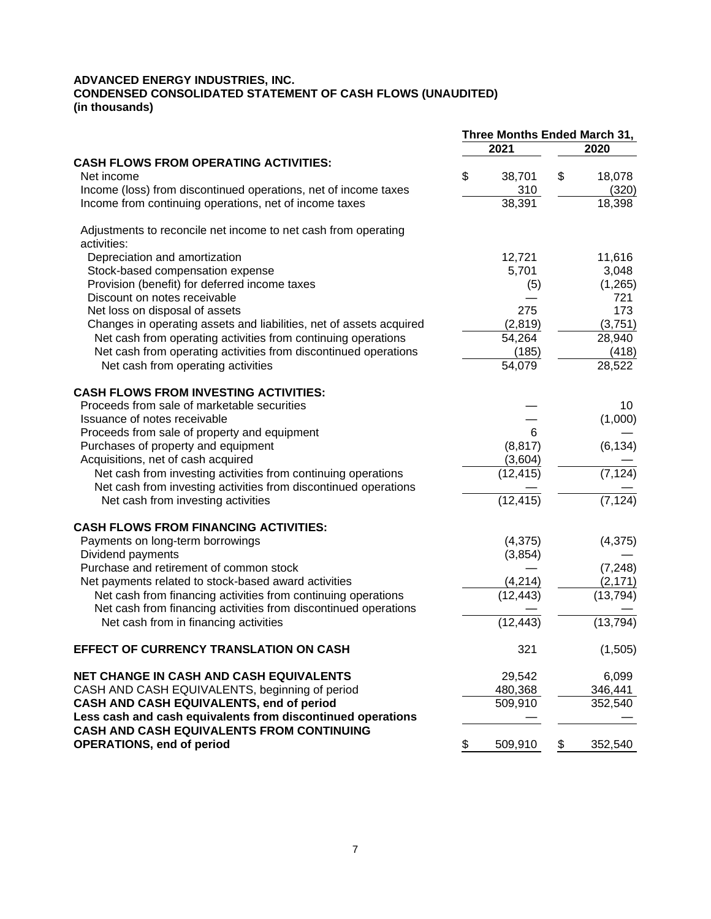#### **ADVANCED ENERGY INDUSTRIES, INC. CONDENSED CONSOLIDATED STATEMENT OF CASH FLOWS (UNAUDITED) (in thousands)**

|                                                                     | Three Months Ended March 31, |               |  |
|---------------------------------------------------------------------|------------------------------|---------------|--|
|                                                                     | 2021                         | 2020          |  |
| <b>CASH FLOWS FROM OPERATING ACTIVITIES:</b>                        |                              |               |  |
| Net income                                                          | \$<br>38,701                 | \$<br>18,078  |  |
| Income (loss) from discontinued operations, net of income taxes     | 310                          | (320)         |  |
| Income from continuing operations, net of income taxes              | 38,391                       | 18,398        |  |
| Adjustments to reconcile net income to net cash from operating      |                              |               |  |
| activities:                                                         |                              |               |  |
| Depreciation and amortization                                       | 12,721                       | 11,616        |  |
| Stock-based compensation expense                                    | 5,701                        | 3,048         |  |
| Provision (benefit) for deferred income taxes                       | (5)                          | (1, 265)      |  |
| Discount on notes receivable                                        |                              | 721           |  |
| Net loss on disposal of assets                                      | 275                          | 173           |  |
| Changes in operating assets and liabilities, net of assets acquired | (2,819)                      | (3,751)       |  |
| Net cash from operating activities from continuing operations       | 54,264                       | 28,940        |  |
| Net cash from operating activities from discontinued operations     | (185)                        | (418)         |  |
| Net cash from operating activities                                  | 54,079                       | 28,522        |  |
|                                                                     |                              |               |  |
| <b>CASH FLOWS FROM INVESTING ACTIVITIES:</b>                        |                              |               |  |
| Proceeds from sale of marketable securities                         |                              | 10            |  |
| Issuance of notes receivable                                        |                              | (1,000)       |  |
| Proceeds from sale of property and equipment                        | 6                            |               |  |
| Purchases of property and equipment                                 | (8, 817)                     | (6, 134)      |  |
| Acquisitions, net of cash acquired                                  | (3,604)                      |               |  |
| Net cash from investing activities from continuing operations       | (12, 415)                    | (7, 124)      |  |
| Net cash from investing activities from discontinued operations     |                              |               |  |
| Net cash from investing activities                                  | (12, 415)                    | (7, 124)      |  |
| <b>CASH FLOWS FROM FINANCING ACTIVITIES:</b>                        |                              |               |  |
| Payments on long-term borrowings                                    | (4, 375)                     | (4, 375)      |  |
| Dividend payments                                                   | (3,854)                      |               |  |
| Purchase and retirement of common stock                             |                              | (7, 248)      |  |
| Net payments related to stock-based award activities                | (4, 214)                     | (2, 171)      |  |
| Net cash from financing activities from continuing operations       | (12,443)                     | (13, 794)     |  |
| Net cash from financing activities from discontinued operations     |                              |               |  |
| Net cash from in financing activities                               | (12,443)                     | (13, 794)     |  |
| EFFECT OF CURRENCY TRANSLATION ON CASH                              | 321                          | (1,505)       |  |
| <b>NET CHANGE IN CASH AND CASH EQUIVALENTS</b>                      | 29,542                       | 6,099         |  |
| CASH AND CASH EQUIVALENTS, beginning of period                      | 480,368                      | 346,441       |  |
| CASH AND CASH EQUIVALENTS, end of period                            | 509,910                      | 352,540       |  |
| Less cash and cash equivalents from discontinued operations         |                              |               |  |
| CASH AND CASH EQUIVALENTS FROM CONTINUING                           |                              |               |  |
| <b>OPERATIONS, end of period</b>                                    | \$<br>509,910                | \$<br>352,540 |  |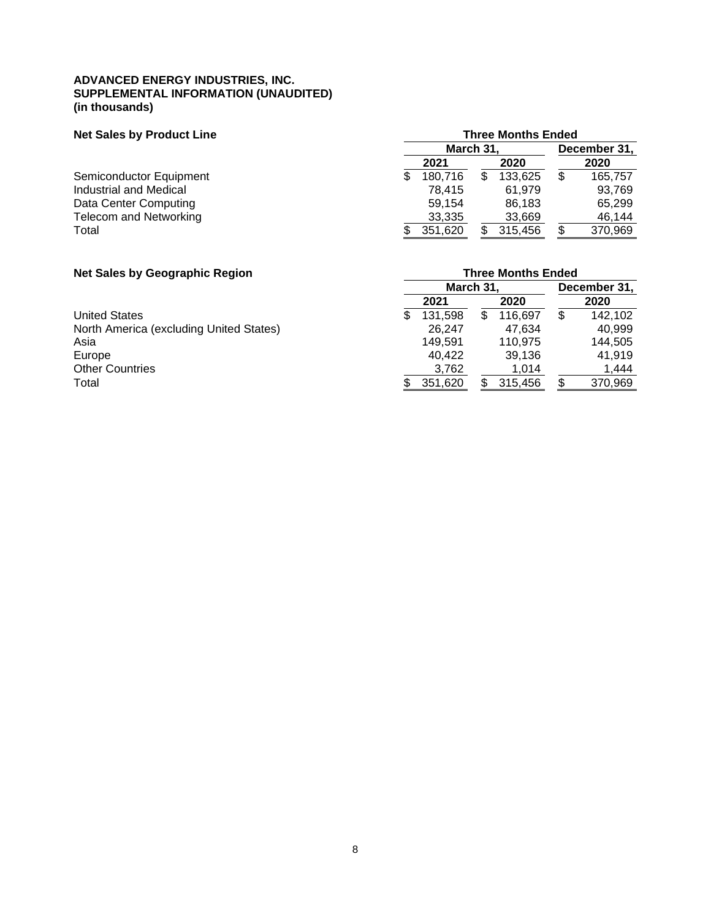#### **ADVANCED ENERGY INDUSTRIES, INC. SUPPLEMENTAL INFORMATION (UNAUDITED) (in thousands)**

## **Net Sales by Product Line Net Sales by Product Line**

|                         | March 31. |  |         | December 31, |         |  |
|-------------------------|-----------|--|---------|--------------|---------|--|
|                         | 2021      |  | 2020    |              | 2020    |  |
| Semiconductor Equipment | 180.716   |  | 133.625 |              | 165.757 |  |
| Industrial and Medical  | 78.415    |  | 61.979  |              | 93,769  |  |
| Data Center Computing   | 59.154    |  | 86.183  |              | 65.299  |  |
| Telecom and Networking  | 33,335    |  | 33,669  |              | 46.144  |  |
| Total                   | 351,620   |  | 315,456 |              | 370,969 |  |

#### **Net Sales by Geograph**

| <b>Net Sales by Geographic Region</b>   |                          | <b>Three Months Ended</b> |   |         |   |         |  |  |  |
|-----------------------------------------|--------------------------|---------------------------|---|---------|---|---------|--|--|--|
|                                         | March 31<br>December 31, |                           |   |         |   |         |  |  |  |
|                                         |                          | 2021                      |   | 2020    |   | 2020    |  |  |  |
| <b>United States</b>                    | S                        | 131.598                   | S | 116.697 | S | 142,102 |  |  |  |
| North America (excluding United States) |                          | 26.247                    |   | 47.634  |   | 40,999  |  |  |  |
| Asia                                    |                          | 149.591                   |   | 110.975 |   | 144,505 |  |  |  |
| Europe                                  |                          | 40.422                    |   | 39,136  |   | 41.919  |  |  |  |
| <b>Other Countries</b>                  |                          | 3,762                     |   | 1.014   |   | 1,444   |  |  |  |
| Total                                   |                          | 351.620                   |   | 315,456 |   | 370,969 |  |  |  |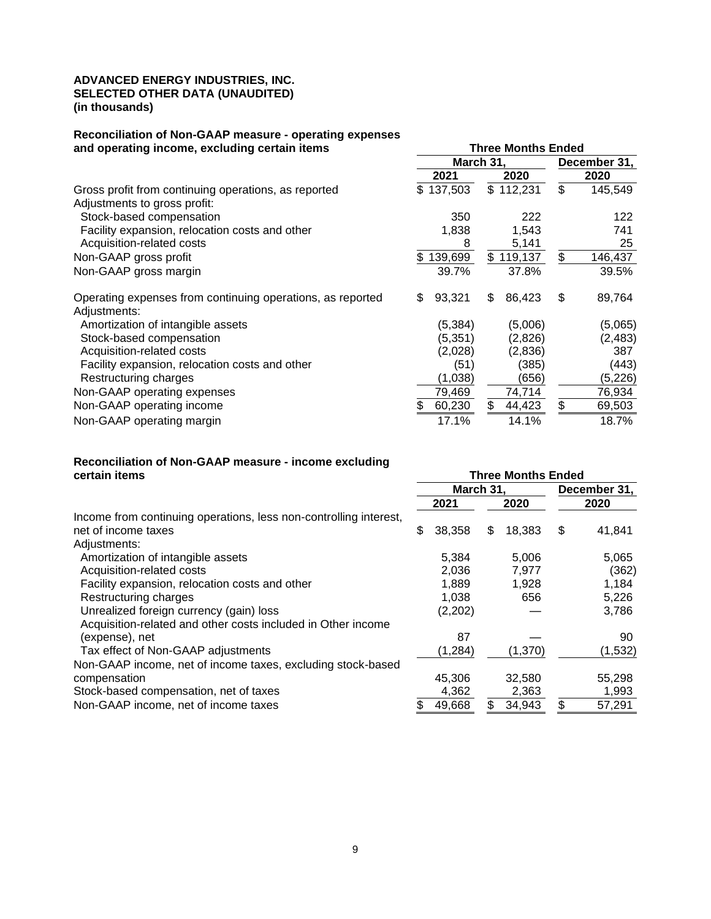#### **ADVANCED ENERGY INDUSTRIES, INC. SELECTED OTHER DATA (UNAUDITED) (in thousands)**

# **Reconciliation of Non-GAAP measure - operating expenses**

| and operating income, excluding certain items                              | <b>Three Months Ended</b> |               |               |  |  |  |  |
|----------------------------------------------------------------------------|---------------------------|---------------|---------------|--|--|--|--|
|                                                                            |                           | March 31,     |               |  |  |  |  |
|                                                                            | 2021                      | 2020          | 2020          |  |  |  |  |
| Gross profit from continuing operations, as reported                       | \$137,503                 | \$112,231     | \$<br>145,549 |  |  |  |  |
| Adjustments to gross profit:                                               |                           |               |               |  |  |  |  |
| Stock-based compensation                                                   | 350                       | 222           | 122           |  |  |  |  |
| Facility expansion, relocation costs and other                             | 1,838                     | 1,543         | 741           |  |  |  |  |
| Acquisition-related costs                                                  | 8                         | 5,141         | 25            |  |  |  |  |
| Non-GAAP gross profit                                                      | 139,699                   | \$<br>119,137 | \$<br>146,437 |  |  |  |  |
| Non-GAAP gross margin                                                      | 39.7%                     | 37.8%         | 39.5%         |  |  |  |  |
| Operating expenses from continuing operations, as reported<br>Adjustments: | 93,321<br>\$              | 86,423<br>S   | \$<br>89,764  |  |  |  |  |
| Amortization of intangible assets                                          | (5, 384)                  | (5,006)       | (5,065)       |  |  |  |  |
| Stock-based compensation                                                   | (5, 351)                  | (2,826)       | (2, 483)      |  |  |  |  |
| Acquisition-related costs                                                  | (2,028)                   | (2,836)       | 387           |  |  |  |  |
| Facility expansion, relocation costs and other                             | (51)                      | (385)         | (443)         |  |  |  |  |
| Restructuring charges                                                      | (1,038)                   | (656)         | (5,226)       |  |  |  |  |
| Non-GAAP operating expenses                                                | 79,469                    | 74,714        | 76,934        |  |  |  |  |
| Non-GAAP operating income                                                  | 60,230                    | \$<br>44,423  | \$<br>69,503  |  |  |  |  |
| Non-GAAP operating margin                                                  | 17.1%                     | 14.1%         | 18.7%         |  |  |  |  |

# **Reconciliation of Non-GAAP measure - income excluding**

|                                                                   | March 31, |          |   | December 31, |    |          |
|-------------------------------------------------------------------|-----------|----------|---|--------------|----|----------|
|                                                                   |           | 2021     |   | 2020         |    | 2020     |
| Income from continuing operations, less non-controlling interest, |           |          |   |              |    |          |
| net of income taxes                                               | \$        | 38,358   | S | 18.383       | \$ | 41,841   |
| Adjustments:                                                      |           |          |   |              |    |          |
| Amortization of intangible assets                                 |           | 5,384    |   | 5,006        |    | 5,065    |
| Acquisition-related costs                                         |           | 2,036    |   | 7,977        |    | (362)    |
| Facility expansion, relocation costs and other                    |           | 1,889    |   | 1,928        |    | 1,184    |
| Restructuring charges                                             |           | 1.038    |   | 656          |    | 5,226    |
| Unrealized foreign currency (gain) loss                           |           | (2,202)  |   |              |    | 3,786    |
| Acquisition-related and other costs included in Other income      |           |          |   |              |    |          |
| (expense), net                                                    |           | 87       |   |              |    | 90       |
| Tax effect of Non-GAAP adjustments                                |           | (1, 284) |   | (1,370)      |    | (1, 532) |
| Non-GAAP income, net of income taxes, excluding stock-based       |           |          |   |              |    |          |
| compensation                                                      |           | 45,306   |   | 32,580       |    | 55,298   |
| Stock-based compensation, net of taxes                            |           | 4,362    |   | 2,363        |    | 1,993    |
| Non-GAAP income, net of income taxes                              |           | 49,668   |   | 34,943       |    | 57,291   |

**Three Months Ended**